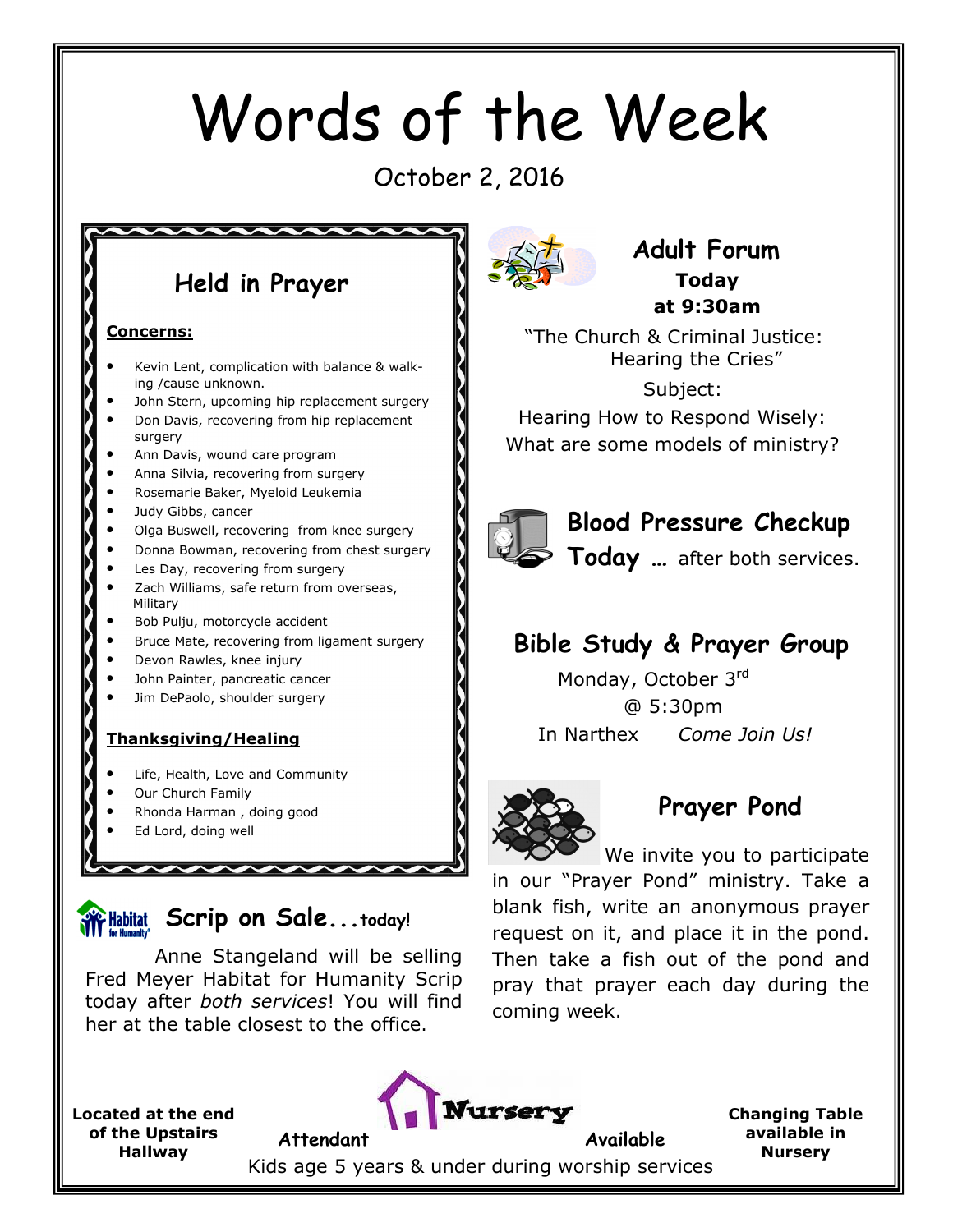# Words of the Week

October 2, 2016

# Held in Prayer

 $\overline{\phantom{a}}$ 

#### Concerns:

- Kevin Lent, complication with balance & walking /cause unknown.
- John Stern, upcoming hip replacement surgery
- Don Davis, recovering from hip replacement surgery
- Ann Davis, wound care program
- Anna Silvia, recovering from surgery
- Rosemarie Baker, Myeloid Leukemia
- Judy Gibbs, cancer
- Olga Buswell, recovering from knee surgery
- Donna Bowman, recovering from chest surgery
- Les Day, recovering from surgery
- Zach Williams, safe return from overseas, Military
- Bob Pulju, motorcycle accident
- Bruce Mate, recovering from ligament surgery
- Devon Rawles, knee injury
- John Painter, pancreatic cancer
- Jim DePaolo, shoulder surgery

#### Thanksgiving/Healing

- Life, Health, Love and Community
- Our Church Family
- Rhonda Harman , doing good
- Ed Lord, doing well



Anne Stangeland will be selling Fred Meyer Habitat for Humanity Scrip today after both services! You will find her at the table closest to the office.



#### Adult Forum Today at 9:30am

 "The Church & Criminal Justice: Hearing the Cries"

 Subject: Hearing How to Respond Wisely: What are some models of ministry?



#### Blood Pressure Checkup

Today ... after both services.

## Bible Study & Prayer Group

Monday, October 3rd @ 5:30pm In Narthex Come Join Us!



## Prayer Pond

We invite you to participate in our "Prayer Pond" ministry. Take a blank fish, write an anonymous prayer request on it, and place it in the pond. Then take a fish out of the pond and pray that prayer each day during the coming week.

Located at the end of the Upstairs Hallway



Changing Table available in Nursery

Kids age 5 years & under during worship services